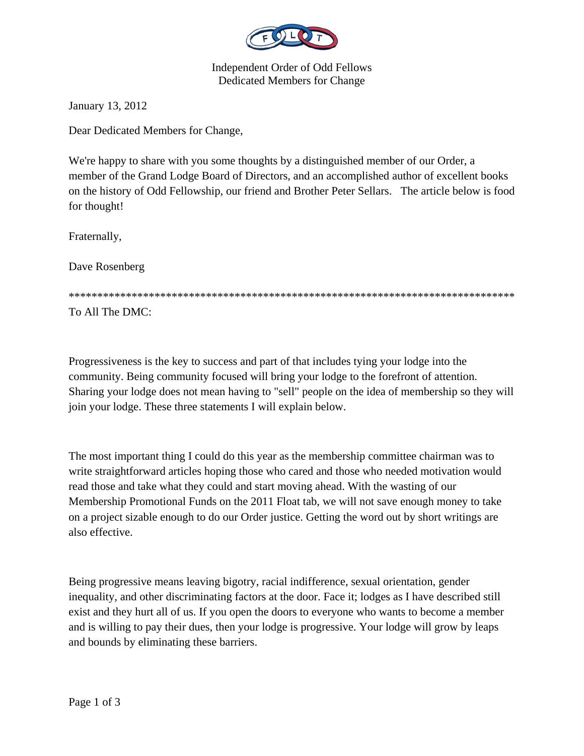

Independent Order of Odd Fellows Dedicated Members for Change

January 13, 2012

Dear Dedicated Members for Change,

We're happy to share with you some thoughts by a distinguished member of our Order, a member of the Grand Lodge Board of Directors, and an accomplished author of excellent books on the history of Odd Fellowship, our friend and Brother Peter Sellars. The article below is food for thought!

Fraternally,

Dave Rosenberg

\*\*\*\*\*\*\*\*\*\*\*\*\*\*\*\*\*\*\*\*\*\*\*\*\*\*\*\*\*\*\*\*\*\*\*\*\*\*\*\*\*\*\*\*\*\*\*\*\*\*\*\*\*\*\*\*\*\*\*\*\*\*\*\*\*\*\*\*\*\*\*\*\*\*\*\*\*\*

To All The DMC:

Progressiveness is the key to success and part of that includes tying your lodge into the community. Being community focused will bring your lodge to the forefront of attention. Sharing your lodge does not mean having to "sell" people on the idea of membership so they will join your lodge. These three statements I will explain below.

The most important thing I could do this year as the membership committee chairman was to write straightforward articles hoping those who cared and those who needed motivation would read those and take what they could and start moving ahead. With the wasting of our Membership Promotional Funds on the 2011 Float tab, we will not save enough money to take on a project sizable enough to do our Order justice. Getting the word out by short writings are also effective.

Being progressive means leaving bigotry, racial indifference, sexual orientation, gender inequality, and other discriminating factors at the door. Face it; lodges as I have described still exist and they hurt all of us. If you open the doors to everyone who wants to become a member and is willing to pay their dues, then your lodge is progressive. Your lodge will grow by leaps and bounds by eliminating these barriers.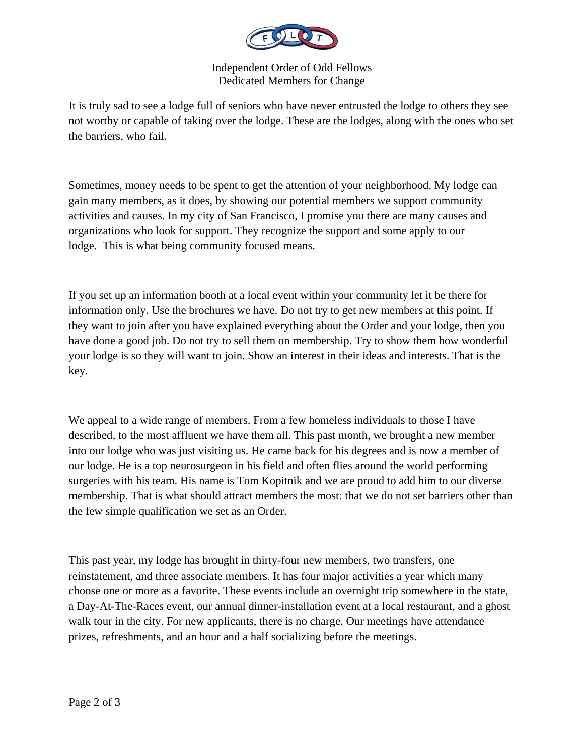

Independent Order of Odd Fellows Dedicated Members for Change

It is truly sad to see a lodge full of seniors who have never entrusted the lodge to others they see not worthy or capable of taking over the lodge. These are the lodges, along with the ones who set the barriers, who fail.

Sometimes, money needs to be spent to get the attention of your neighborhood. My lodge can gain many members, as it does, by showing our potential members we support community activities and causes. In my city of San Francisco, I promise you there are many causes and organizations who look for support. They recognize the support and some apply to our lodge. This is what being community focused means.

If you set up an information booth at a local event within your community let it be there for information only. Use the brochures we have. Do not try to get new members at this point. If they want to join after you have explained everything about the Order and your lodge, then you have done a good job. Do not try to sell them on membership. Try to show them how wonderful your lodge is so they will want to join. Show an interest in their ideas and interests. That is the key.

We appeal to a wide range of members. From a few homeless individuals to those I have described, to the most affluent we have them all. This past month, we brought a new member into our lodge who was just visiting us. He came back for his degrees and is now a member of our lodge. He is a top neurosurgeon in his field and often flies around the world performing surgeries with his team. His name is Tom Kopitnik and we are proud to add him to our diverse membership. That is what should attract members the most: that we do not set barriers other than the few simple qualification we set as an Order.

This past year, my lodge has brought in thirty-four new members, two transfers, one reinstatement, and three associate members. It has four major activities a year which many choose one or more as a favorite. These events include an overnight trip somewhere in the state, a Day-At-The-Races event, our annual dinner-installation event at a local restaurant, and a ghost walk tour in the city. For new applicants, there is no charge. Our meetings have attendance prizes, refreshments, and an hour and a half socializing before the meetings.